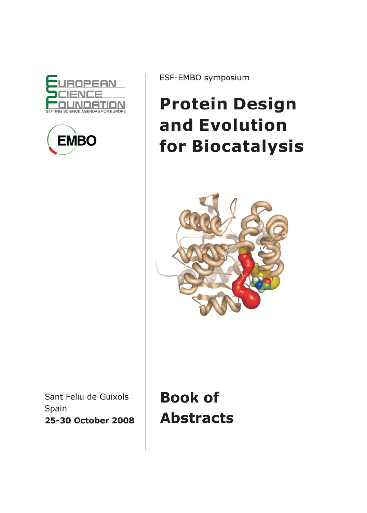



ESF-EMBO symposium

## **Protein Design** and Evolution for Biocatalysis



Sant Feliu de Guixols Spain 25-30 October 2008

**Book of Abstracts**